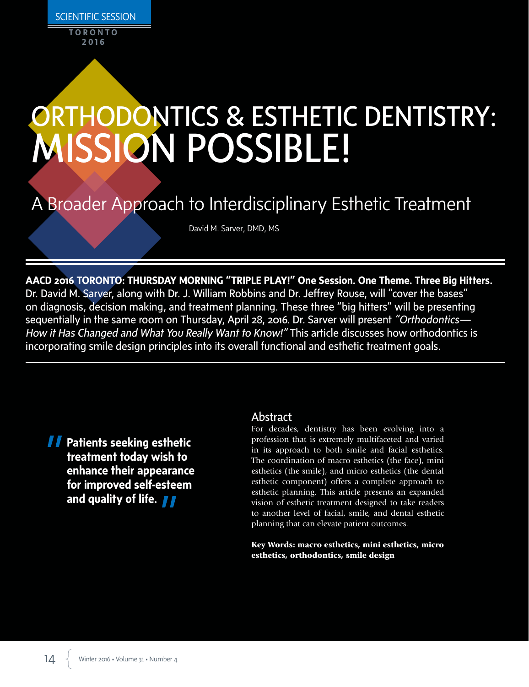**2016**

# ORTHODONTICS & ESTHETIC DENTISTRY: MISSION POSSIBLE!

# A Broader Approach to Interdisciplinary Esthetic Treatment

David M. Sarver, DMD, MS

**AACD 2016 TORONTO: THURSDAY MORNING "TRIPLE PLAY!" One Session. One Theme. Three Big Hitters.** Dr. David M. Sarver, along with Dr. J. William Robbins and Dr. Jeffrey Rouse, will "cover the bases" on diagnosis, decision making, and treatment planning. These three "big hitters" will be presenting sequentially in the same room on Thursday, April 28, 2016. Dr. Sarver will present *"Orthodontics— How it Has Changed and What You Really Want to Know!"* This article discusses how orthodontics is incorporating smile design principles into its overall functional and esthetic treatment goals.

**Patients seeking esthetic treatment today wish to enhance their appearance for improved self-esteem and quality of life.**

## Abstract

For decades, dentistry has been evolving into a profession that is extremely multifaceted and varied in its approach to both smile and facial esthetics. The coordination of macro esthetics (the face), mini esthetics (the smile), and micro esthetics (the dental esthetic component) offers a complete approach to esthetic planning. This article presents an expanded vision of esthetic treatment designed to take readers to another level of facial, smile, and dental esthetic planning that can elevate patient outcomes.

Key Words: macro esthetics, mini esthetics, micro esthetics, orthodontics, smile design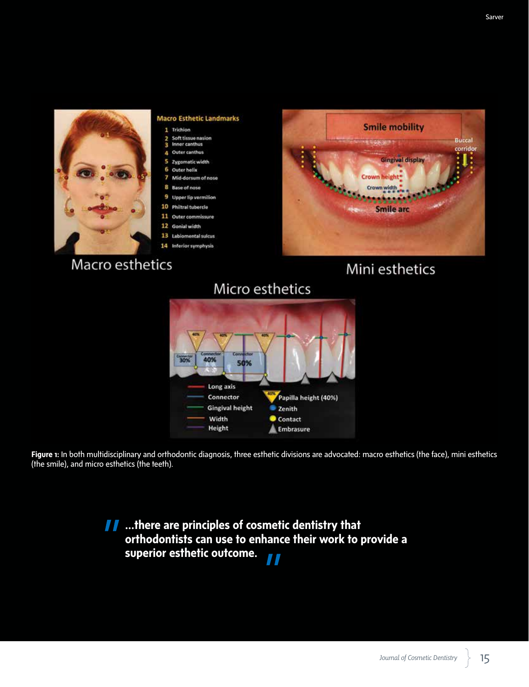

#### **Macro Esthetic Landmarks**

- 1 Trichion
- Soft tissue nasion<br>Inner canthus 2 ٩
- ă Outer canthus
- ς Zygomatic width
- Outer helix 6
- 7 Mid-dorsum of nose R
- **Base of nose** Upper lip vermilion 9
- 10 Philtral tubercle
- 11 Outer commissure
- 12 Gonial width
- 13 Labiomental sulcus
- 14 Inferior symphysis

# Macro esthetics



# Mini esthetics

# Micro esthetics



Figure 1: In both multidisciplinary and orthodontic diagnosis, three esthetic divisions are advocated: macro esthetics (the face), mini esthetics (the smile), and micro esthetics (the teeth).

> **I** …there are principles of cosmetic dentistry that **orthodontists can use to enhance their work to provide a superior esthetic outcome.**77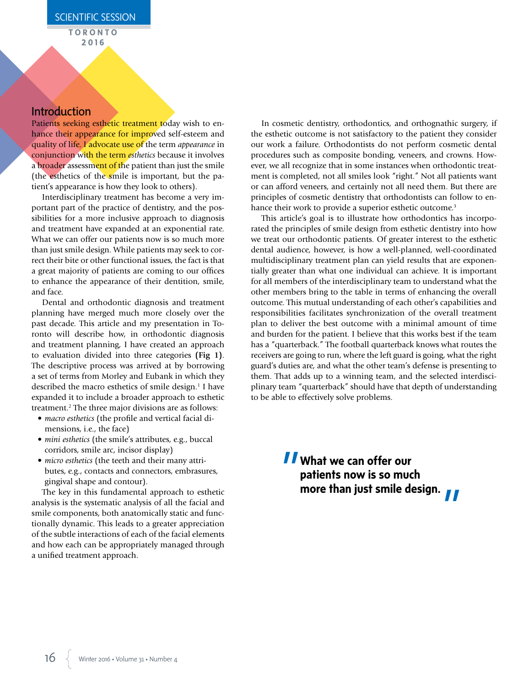## Introduction

Patients seeking esthetic treatment today wish to enhance their appearance for improved self-esteem and quality of life. I advocate use of the term *appearance* in conjunction with the term *esthetics* because it involves a broader assessment of the patient than just the smile (the esthetics of the smile is important, but the patient's appearance is how they look to others).

Interdisciplinary treatment has become a very important part of the practice of dentistry, and the possibilities for a more inclusive approach to diagnosis and treatment have expanded at an exponential rate. What we can offer our patients now is so much more than just smile design. While patients may seek to correct their bite or other functional issues, the fact is that a great majority of patients are coming to our offices to enhance the appearance of their dentition, smile, and face.

Dental and orthodontic diagnosis and treatment planning have merged much more closely over the past decade. This article and my presentation in Toronto will describe how, in orthodontic diagnosis and treatment planning, I have created an approach to evaluation divided into three categories **(Fig 1)**. The descriptive process was arrived at by borrowing a set of terms from Morley and Eubank in which they described the macro esthetics of smile design.<sup>1</sup> I have expanded it to include a broader approach to esthetic treatment.2 The three major divisions are as follows:

- *macro esthetics* (the profile and vertical facial dimensions, i.e., the face)
- *mini esthetics* (the smile's attributes, e.g., buccal corridors, smile arc, incisor display)
- *micro esthetics* (the teeth and their many attributes, e.g., contacts and connectors, embrasures, gingival shape and contour).

The key in this fundamental approach to esthetic analysis is the systematic analysis of all the facial and smile components, both anatomically static and functionally dynamic. This leads to a greater appreciation of the subtle interactions of each of the facial elements and how each can be appropriately managed through a unified treatment approach.

In cosmetic dentistry, orthodontics, and orthognathic surgery, if the esthetic outcome is not satisfactory to the patient they consider our work a failure. Orthodontists do not perform cosmetic dental procedures such as composite bonding, veneers, and crowns. However, we all recognize that in some instances when orthodontic treatment is completed, not all smiles look "right." Not all patients want or can afford veneers, and certainly not all need them. But there are principles of cosmetic dentistry that orthodontists can follow to enhance their work to provide a superior esthetic outcome.<sup>3</sup>

This article's goal is to illustrate how orthodontics has incorporated the principles of smile design from esthetic dentistry into how we treat our orthodontic patients. Of greater interest to the esthetic dental audience, however, is how a well-planned, well-coordinated multidisciplinary treatment plan can yield results that are exponentially greater than what one individual can achieve. It is important for all members of the interdisciplinary team to understand what the other members bring to the table in terms of enhancing the overall outcome. This mutual understanding of each other's capabilities and responsibilities facilitates synchronization of the overall treatment plan to deliver the best outcome with a minimal amount of time and burden for the patient. I believe that this works best if the team has a "quarterback." The football quarterback knows what routes the receivers are going to run, where the left guard is going, what the right guard's duties are, and what the other team's defense is presenting to them. That adds up to a winning team, and the selected interdisciplinary team "quarterback" should have that depth of understanding to be able to effectively solve problems.

> **What we can offer our patients now is so much more than just smile design.**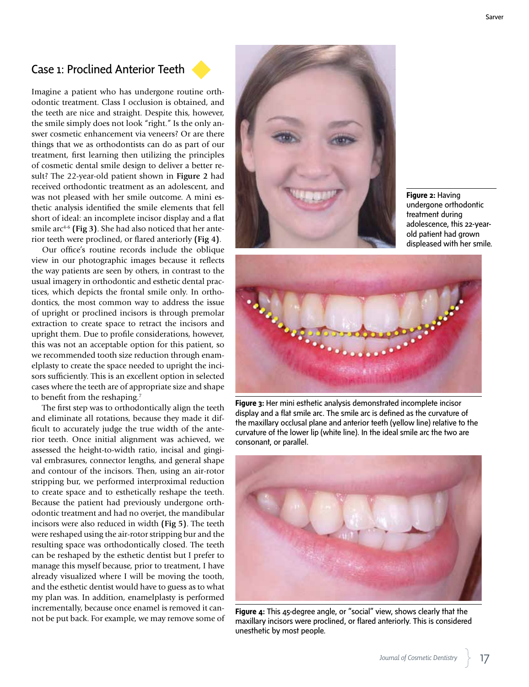# Case 1: Proclined Anterior Teeth

Imagine a patient who has undergone routine orthodontic treatment. Class I occlusion is obtained, and the teeth are nice and straight. Despite this, however, the smile simply does not look "right." Is the only answer cosmetic enhancement via veneers? Or are there things that we as orthodontists can do as part of our treatment, first learning then utilizing the principles of cosmetic dental smile design to deliver a better result? The 22-year-old patient shown in **Figure 2** had received orthodontic treatment as an adolescent, and was not pleased with her smile outcome. A mini esthetic analysis identified the smile elements that fell short of ideal: an incomplete incisor display and a flat smile arc<sup>4-6</sup> (Fig 3). She had also noticed that her anterior teeth were proclined, or flared anteriorly **(Fig 4)**.

Our office's routine records include the oblique view in our photographic images because it reflects the way patients are seen by others, in contrast to the usual imagery in orthodontic and esthetic dental practices, which depicts the frontal smile only. In orthodontics, the most common way to address the issue of upright or proclined incisors is through premolar extraction to create space to retract the incisors and upright them. Due to profile considerations, however, this was not an acceptable option for this patient, so we recommended tooth size reduction through enamelplasty to create the space needed to upright the incisors sufficiently. This is an excellent option in selected cases where the teeth are of appropriate size and shape to benefit from the reshaping.<sup>7</sup>

The first step was to orthodontically align the teeth and eliminate all rotations, because they made it difficult to accurately judge the true width of the anterior teeth. Once initial alignment was achieved, we assessed the height-to-width ratio, incisal and gingival embrasures, connector lengths, and general shape and contour of the incisors. Then, using an air-rotor stripping bur, we performed interproximal reduction to create space and to esthetically reshape the teeth. Because the patient had previously undergone orthodontic treatment and had no overjet, the mandibular incisors were also reduced in width **(Fig 5)**. The teeth were reshaped using the air-rotor stripping bur and the resulting space was orthodontically closed. The teeth can be reshaped by the esthetic dentist but I prefer to manage this myself because, prior to treatment, I have already visualized where I will be moving the tooth, and the esthetic dentist would have to guess as to what my plan was. In addition, enamelplasty is performed incrementally, because once enamel is removed it cannot be put back. For example, we may remove some of



**Figure 2:** Having undergone orthodontic treatment during adolescence, this 22-yearold patient had grown displeased with her smile.



**Figure 3:** Her mini esthetic analysis demonstrated incomplete incisor display and a flat smile arc. The smile arc is defined as the curvature of the maxillary occlusal plane and anterior teeth (yellow line) relative to the curvature of the lower lip (white line). In the ideal smile arc the two are consonant, or parallel.



**Figure 4:** This 45-degree angle, or "social" view, shows clearly that the maxillary incisors were proclined, or flared anteriorly. This is considered unesthetic by most people.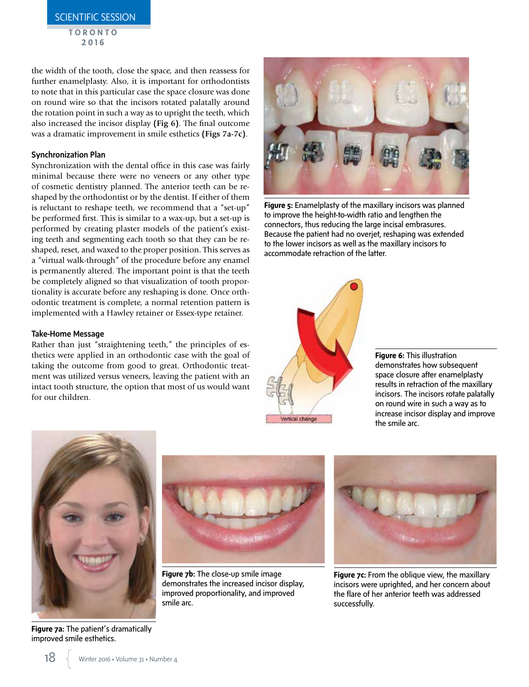**TORONTO 2016**

the width of the tooth, close the space, and then reassess for further enamelplasty. Also, it is important for orthodontists to note that in this particular case the space closure was done on round wire so that the incisors rotated palatally around the rotation point in such a way as to upright the teeth, which also increased the incisor display **(Fig 6)**. The final outcome was a dramatic improvement in smile esthetics **(Figs 7a-7c)**.

#### Synchronization Plan

Synchronization with the dental office in this case was fairly minimal because there were no veneers or any other type of cosmetic dentistry planned. The anterior teeth can be reshaped by the orthodontist or by the dentist. If either of them is reluctant to reshape teeth, we recommend that a "set-up" be performed first. This is similar to a wax-up, but a set-up is performed by creating plaster models of the patient's existing teeth and segmenting each tooth so that they can be reshaped, reset, and waxed to the proper position. This serves as a "virtual walk-through" of the procedure before any enamel is permanently altered. The important point is that the teeth be completely aligned so that visualization of tooth proportionality is accurate before any reshaping is done. Once orthodontic treatment is complete, a normal retention pattern is implemented with a Hawley retainer or Essex-type retainer.

#### Take-Home Message

Rather than just "straightening teeth," the principles of esthetics were applied in an orthodontic case with the goal of taking the outcome from good to great. Orthodontic treatment was utilized versus veneers, leaving the patient with an intact tooth structure, the option that most of us would want for our children.



**Figure 5:** Enamelplasty of the maxillary incisors was planned to improve the height-to-width ratio and lengthen the connectors, thus reducing the large incisal embrasures. Because the patient had no overjet, reshaping was extended to the lower incisors as well as the maxillary incisors to accommodate retraction of the latter.



**Figure 6:** This illustration demonstrates how subsequent space closure after enamelplasty results in retraction of the maxillary incisors. The incisors rotate palatally on round wire in such a way as to increase incisor display and improve the smile arc.



**Figure 7a:** The patient's dramatically improved smile esthetics.



**Figure 7b:** The close-up smile image demonstrates the increased incisor display, improved proportionality, and improved smile arc.



**Figure 7c:** From the oblique view, the maxillary incisors were uprighted, and her concern about the flare of her anterior teeth was addressed successfully.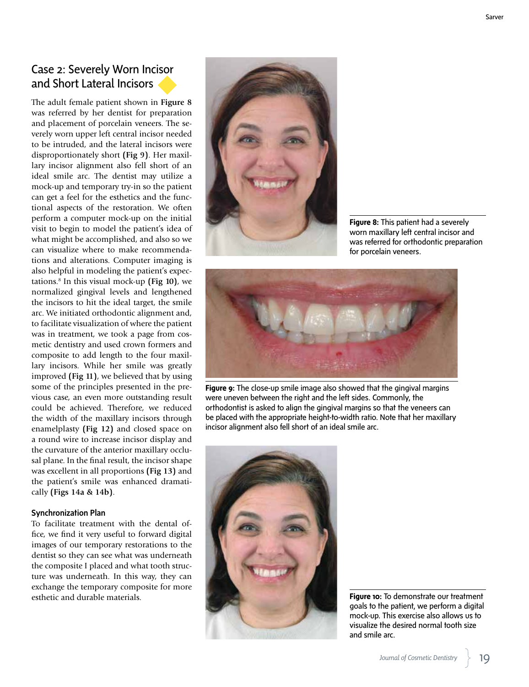Sarver

# Case 2: Severely Worn Incisor and Short Lateral Incisors

The adult female patient shown in **Figure 8** was referred by her dentist for preparation and placement of porcelain veneers. The severely worn upper left central incisor needed to be intruded, and the lateral incisors were disproportionately short **(Fig 9)**. Her maxillary incisor alignment also fell short of an ideal smile arc. The dentist may utilize a mock-up and temporary try-in so the patient can get a feel for the esthetics and the functional aspects of the restoration. We often perform a computer mock-up on the initial visit to begin to model the patient's idea of what might be accomplished, and also so we can visualize where to make recommendations and alterations. Computer imaging is also helpful in modeling the patient's expectations.8 In this visual mock-up **(Fig 10)**, we normalized gingival levels and lengthened the incisors to hit the ideal target, the smile arc. We initiated orthodontic alignment and, to facilitate visualization of where the patient was in treatment, we took a page from cosmetic dentistry and used crown formers and composite to add length to the four maxillary incisors. While her smile was greatly improved **(Fig 11)**, we believed that by using some of the principles presented in the previous case, an even more outstanding result could be achieved. Therefore, we reduced the width of the maxillary incisors through enamelplasty **(Fig 12)** and closed space on a round wire to increase incisor display and the curvature of the anterior maxillary occlusal plane. In the final result, the incisor shape was excellent in all proportions **(Fig 13)** and the patient's smile was enhanced dramatically **(Figs 14a & 14b)**.

#### Synchronization Plan

To facilitate treatment with the dental office, we find it very useful to forward digital images of our temporary restorations to the dentist so they can see what was underneath the composite I placed and what tooth structure was underneath. In this way, they can exchange the temporary composite for more esthetic and durable materials.



**Figure 8:** This patient had a severely worn maxillary left central incisor and was referred for orthodontic preparation for porcelain veneers.



**Figure 9:** The close-up smile image also showed that the gingival margins were uneven between the right and the left sides. Commonly, the orthodontist is asked to align the gingival margins so that the veneers can be placed with the appropriate height-to-width ratio. Note that her maxillary incisor alignment also fell short of an ideal smile arc.



**Figure 10:** To demonstrate our treatment goals to the patient, we perform a digital mock-up. This exercise also allows us to visualize the desired normal tooth size and smile arc.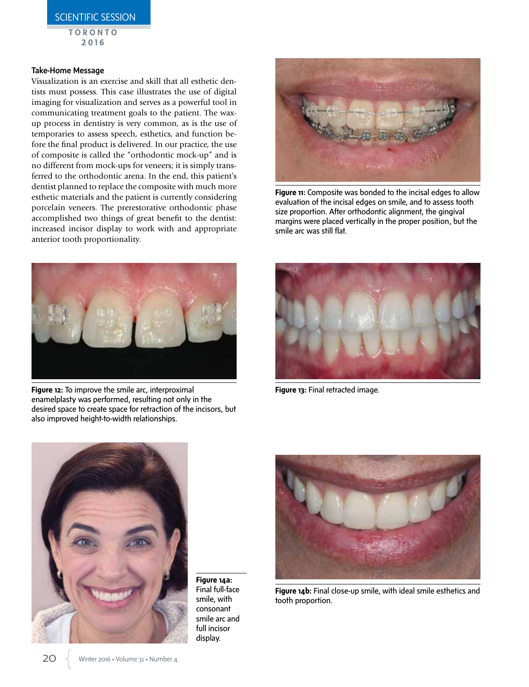SCIENTIFIC SESSION

**TORONTO 2016**

#### Take-Home Message

Visualization is an exercise and skill that all esthetic dentists must possess. This case illustrates the use of digital imaging for visualization and serves as a powerful tool in communicating treatment goals to the patient. The waxup process in dentistry is very common, as is the use of temporaries to assess speech, esthetics, and function before the final product is delivered. In our practice, the use of composite is called the "orthodontic mock-up" and is no different from mock-ups for veneers; it is simply transferred to the orthodontic arena. In the end, this patient's dentist planned to replace the composite with much more esthetic materials and the patient is currently considering porcelain veneers. The prerestorative orthodontic phase accomplished two things of great benefit to the dentist: increased incisor display to work with and appropriate anterior tooth proportionality.



**Figure 11:** Composite was bonded to the incisal edges to allow evaluation of the incisal edges on smile, and to assess tooth size proportion. After orthodontic alignment, the gingival margins were placed vertically in the proper position, but the smile arc was still flat.



**Figure 12:** To improve the smile arc, interproximal enamelplasty was performed, resulting not only in the desired space to create space for retraction of the incisors, but also improved height-to-width relationships.



**Figure 13:** Final retracted image.



**Figure 14a:**  Final full-face smile, with consonant smile arc and full incisor display.



**Figure 14b:** Final close-up smile, with ideal smile esthetics and tooth proportion.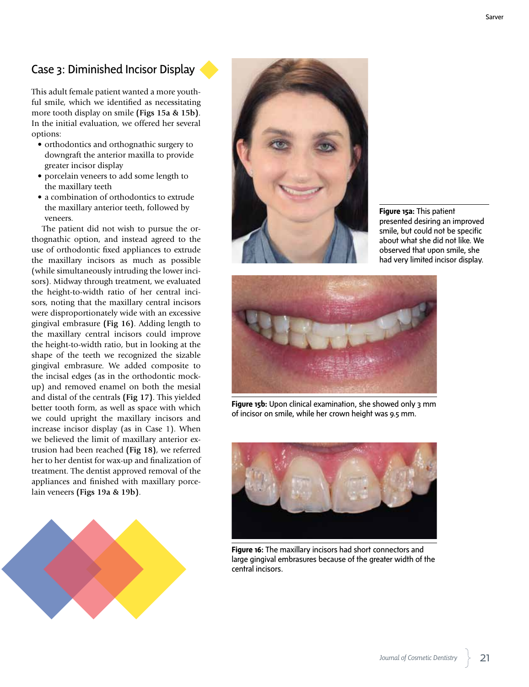# Case 3: Diminished Incisor Display

This adult female patient wanted a more youthful smile, which we identified as necessitating more tooth display on smile **(Figs 15a & 15b)**. In the initial evaluation, we offered her several options:

- orthodontics and orthognathic surgery to downgraft the anterior maxilla to provide greater incisor display
- porcelain veneers to add some length to the maxillary teeth
- a combination of orthodontics to extrude the maxillary anterior teeth, followed by veneers.

The patient did not wish to pursue the orthognathic option, and instead agreed to the use of orthodontic fixed appliances to extrude the maxillary incisors as much as possible (while simultaneously intruding the lower incisors). Midway through treatment, we evaluated the height-to-width ratio of her central incisors, noting that the maxillary central incisors were disproportionately wide with an excessive gingival embrasure **(Fig 16)**. Adding length to the maxillary central incisors could improve the height-to-width ratio, but in looking at the shape of the teeth we recognized the sizable gingival embrasure. We added composite to the incisal edges (as in the orthodontic mockup) and removed enamel on both the mesial and distal of the centrals **(Fig 17)**. This yielded better tooth form, as well as space with which we could upright the maxillary incisors and increase incisor display (as in Case 1). When we believed the limit of maxillary anterior extrusion had been reached **(Fig 18)**, we referred her to her dentist for wax-up and finalization of treatment. The dentist approved removal of the appliances and finished with maxillary porcelain veneers **(Figs 19a & 19b)**.





**Figure 15a:** This patient presented desiring an improved smile, but could not be specific about what she did not like. We observed that upon smile, she had very limited incisor display.



**Figure 15b:** Upon clinical examination, she showed only 3 mm of incisor on smile, while her crown height was 9.5 mm.



**Figure 16:** The maxillary incisors had short connectors and large gingival embrasures because of the greater width of the central incisors.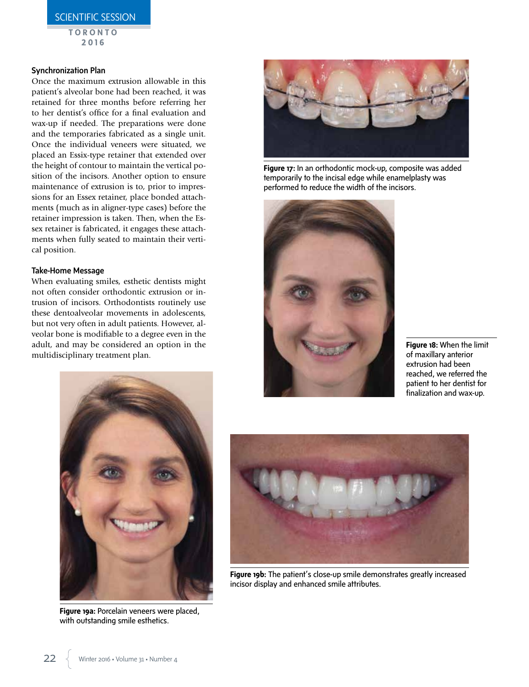SCIENTIFIC SESSION

**TORONTO 2016**

#### Synchronization Plan

Once the maximum extrusion allowable in this patient's alveolar bone had been reached, it was retained for three months before referring her to her dentist's office for a final evaluation and wax-up if needed. The preparations were done and the temporaries fabricated as a single unit. Once the individual veneers were situated, we placed an Essix-type retainer that extended over the height of contour to maintain the vertical position of the incisors. Another option to ensure maintenance of extrusion is to, prior to impressions for an Essex retainer, place bonded attachments (much as in aligner-type cases) before the retainer impression is taken. Then, when the Essex retainer is fabricated, it engages these attachments when fully seated to maintain their vertical position.

#### Take-Home Message

When evaluating smiles, esthetic dentists might not often consider orthodontic extrusion or intrusion of incisors. Orthodontists routinely use these dentoalveolar movements in adolescents, but not very often in adult patients. However, alveolar bone is modifiable to a degree even in the adult, and may be considered an option in the multidisciplinary treatment plan.



**Figure 17:** In an orthodontic mock-up, composite was added temporarily to the incisal edge while enamelplasty was performed to reduce the width of the incisors.



**Figure 18:** When the limit of maxillary anterior extrusion had been reached, we referred the patient to her dentist for finalization and wax-up.



**Figure 19a:** Porcelain veneers were placed, with outstanding smile esthetics.



**Figure 19b:** The patient's close-up smile demonstrates greatly increased incisor display and enhanced smile attributes.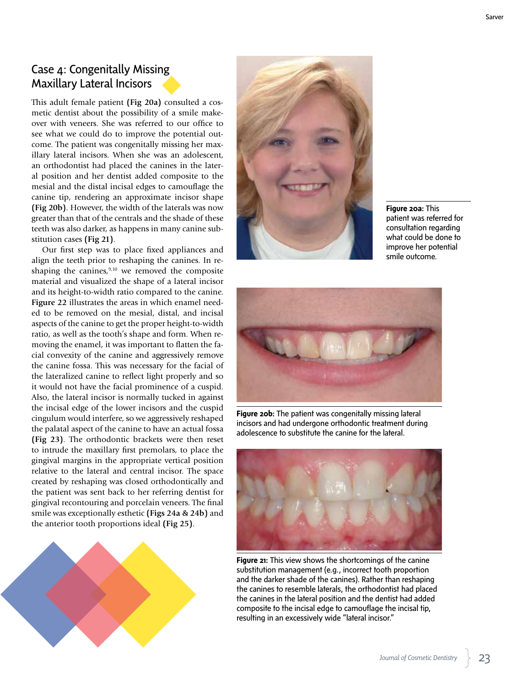# Case 4: Congenitally Missing Maxillary Lateral Incisors

This adult female patient **(Fig 20a)** consulted a cosmetic dentist about the possibility of a smile makeover with veneers. She was referred to our office to see what we could do to improve the potential outcome. The patient was congenitally missing her maxillary lateral incisors. When she was an adolescent, an orthodontist had placed the canines in the lateral position and her dentist added composite to the mesial and the distal incisal edges to camouflage the canine tip, rendering an approximate incisor shape **(Fig 20b)**. However, the width of the laterals was now greater than that of the centrals and the shade of these teeth was also darker, as happens in many canine substitution cases **(Fig 21)**.

Our first step was to place fixed appliances and align the teeth prior to reshaping the canines. In reshaping the canines, $9,10$  we removed the composite material and visualized the shape of a lateral incisor and its height-to-width ratio compared to the canine. **Figure 22** illustrates the areas in which enamel needed to be removed on the mesial, distal, and incisal aspects of the canine to get the proper height-to-width ratio, as well as the tooth's shape and form. When removing the enamel, it was important to flatten the facial convexity of the canine and aggressively remove the canine fossa. This was necessary for the facial of the lateralized canine to reflect light properly and so it would not have the facial prominence of a cuspid. Also, the lateral incisor is normally tucked in against the incisal edge of the lower incisors and the cuspid cingulum would interfere, so we aggressively reshaped the palatal aspect of the canine to have an actual fossa **(Fig 23)**. The orthodontic brackets were then reset to intrude the maxillary first premolars, to place the gingival margins in the appropriate vertical position relative to the lateral and central incisor. The space created by reshaping was closed orthodontically and the patient was sent back to her referring dentist for gingival recontouring and porcelain veneers. The final smile was exceptionally esthetic **(Figs 24a & 24b)** and the anterior tooth proportions ideal **(Fig 25)**.





**Figure 20a:** This patient was referred for consultation regarding what could be done to improve her potential smile outcome.



**Figure 20b:** The patient was congenitally missing lateral incisors and had undergone orthodontic treatment during adolescence to substitute the canine for the lateral.



**Figure 21:** This view shows the shortcomings of the canine substitution management (e.g., incorrect tooth proportion and the darker shade of the canines). Rather than reshaping the canines to resemble laterals, the orthodontist had placed the canines in the lateral position and the dentist had added composite to the incisal edge to camouflage the incisal tip, resulting in an excessively wide "lateral incisor."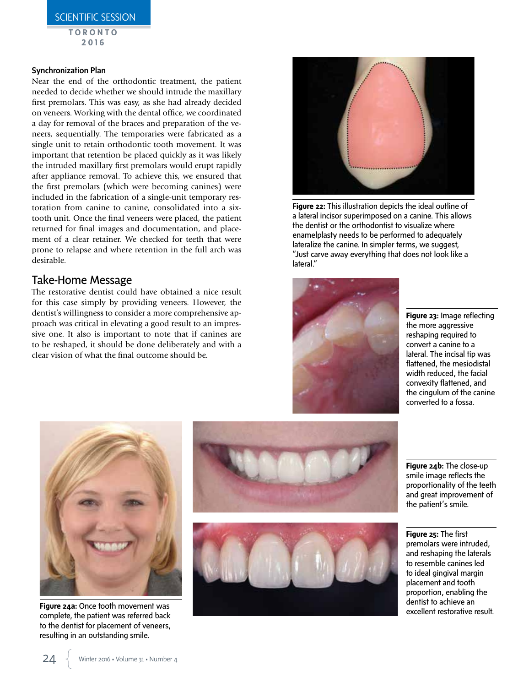**TORONTO 2016**

#### Synchronization Plan

Near the end of the orthodontic treatment, the patient needed to decide whether we should intrude the maxillary first premolars. This was easy, as she had already decided on veneers. Working with the dental office, we coordinated a day for removal of the braces and preparation of the veneers, sequentially. The temporaries were fabricated as a single unit to retain orthodontic tooth movement. It was important that retention be placed quickly as it was likely the intruded maxillary first premolars would erupt rapidly after appliance removal. To achieve this, we ensured that the first premolars (which were becoming canines) were included in the fabrication of a single-unit temporary restoration from canine to canine, consolidated into a sixtooth unit. Once the final veneers were placed, the patient returned for final images and documentation, and placement of a clear retainer. We checked for teeth that were prone to relapse and where retention in the full arch was desirable.

## Take-Home Message

The restorative dentist could have obtained a nice result for this case simply by providing veneers. However, the dentist's willingness to consider a more comprehensive approach was critical in elevating a good result to an impressive one. It also is important to note that if canines are to be reshaped, it should be done deliberately and with a clear vision of what the final outcome should be.



**Figure 22:** This illustration depicts the ideal outline of a lateral incisor superimposed on a canine. This allows the dentist or the orthodontist to visualize where enamelplasty needs to be performed to adequately lateralize the canine. In simpler terms, we suggest, "Just carve away everything that does not look like a lateral."



**Figure 23:** Image reflecting the more aggressive reshaping required to convert a canine to a lateral. The incisal tip was flattened, the mesiodistal width reduced, the facial convexity flattened, and the cingulum of the canine converted to a fossa.



**Figure 24a:** Once tooth movement was complete, the patient was referred back to the dentist for placement of veneers, resulting in an outstanding smile.





**Figure 24b:** The close-up smile image reflects the proportionality of the teeth and great improvement of the patient's smile.

**Figure 25:** The first premolars were intruded, and reshaping the laterals to resemble canines led to ideal gingival margin placement and tooth proportion, enabling the dentist to achieve an excellent restorative result.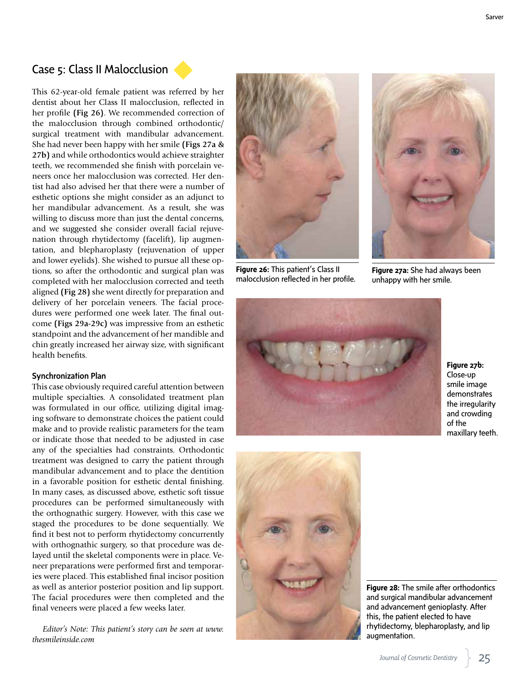## Case 5: Class II Malocclusion

This 62-year-old female patient was referred by her dentist about her Class II malocclusion, reflected in her profile **(Fig 26)**. We recommended correction of the malocclusion through combined orthodontic/ surgical treatment with mandibular advancement. She had never been happy with her smile **(Figs 27a & 27b)** and while orthodontics would achieve straighter teeth, we recommended she finish with porcelain veneers once her malocclusion was corrected. Her dentist had also advised her that there were a number of esthetic options she might consider as an adjunct to her mandibular advancement. As a result, she was willing to discuss more than just the dental concerns, and we suggested she consider overall facial rejuvenation through rhytidectomy (facelift), lip augmentation, and blepharoplasty (rejuvenation of upper and lower eyelids). She wished to pursue all these options, so after the orthodontic and surgical plan was completed with her malocclusion corrected and teeth aligned **(Fig 28)** she went directly for preparation and delivery of her porcelain veneers. The facial procedures were performed one week later. The final outcome **(Figs 29a-29c)** was impressive from an esthetic standpoint and the advancement of her mandible and chin greatly increased her airway size, with significant health benefits.

#### Synchronization Plan

This case obviously required careful attention between multiple specialties. A consolidated treatment plan was formulated in our office, utilizing digital imaging software to demonstrate choices the patient could make and to provide realistic parameters for the team or indicate those that needed to be adjusted in case any of the specialties had constraints. Orthodontic treatment was designed to carry the patient through mandibular advancement and to place the dentition in a favorable position for esthetic dental finishing. In many cases, as discussed above, esthetic soft tissue procedures can be performed simultaneously with the orthognathic surgery. However, with this case we staged the procedures to be done sequentially. We find it best not to perform rhytidectomy concurrently with orthognathic surgery, so that procedure was delayed until the skeletal components were in place. Veneer preparations were performed first and temporaries were placed. This established final incisor position as well as anterior posterior position and lip support. The facial procedures were then completed and the final veneers were placed a few weeks later.

*Editor's Note: This patient's story can be seen at www. thesmileinside.com*



**Figure 26:** This patient's Class II malocclusion reflected in her profile.



**Figure 27a:** She had always been unhappy with her smile.



**Figure 27b:**  Close-up smile image demonstrates the irregularity and crowding of the maxillary teeth.



**Figure 28:** The smile after orthodontics and surgical mandibular advancement and advancement genioplasty. After this, the patient elected to have rhytidectomy, blepharoplasty, and lip augmentation.